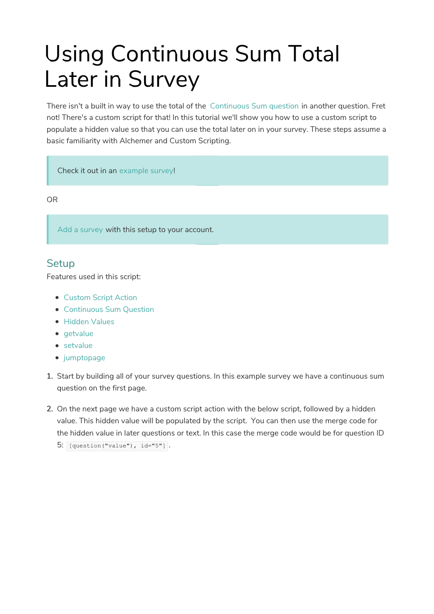# Using Continuous Sum Total Later in Survey

There isn't a built in way to use the total of the Continuous Sum question in another question. Fret not! There's a custom script for that! In this tutorial we'll show you how to use a custom script to populate a hidden value so that you can use the total later on in your survey. These steps assume a basic familiarity with Alchemer and Custom Scripting.

Check it out in an example survey!

OR

Add a survey with this setup to your account.

#### **Setup**

Features used in this script:

- Custom Script Action
- Continuous Sum Question
- **Hidden Values**
- $\bullet$  getvalue
- setvalue
- jumptopage
- 1. Start by building all of your survey questions. In this example survey we have a continuous sum question on the first page.
- 2. On the next page we have a custom script action with the below script, followed by a hidden value. This hidden value will be populated by the script. You can then use the merge code for the hidden value in later questions or text. In this case the merge code would be for question ID  $5:$  [question("value"), id="5"].